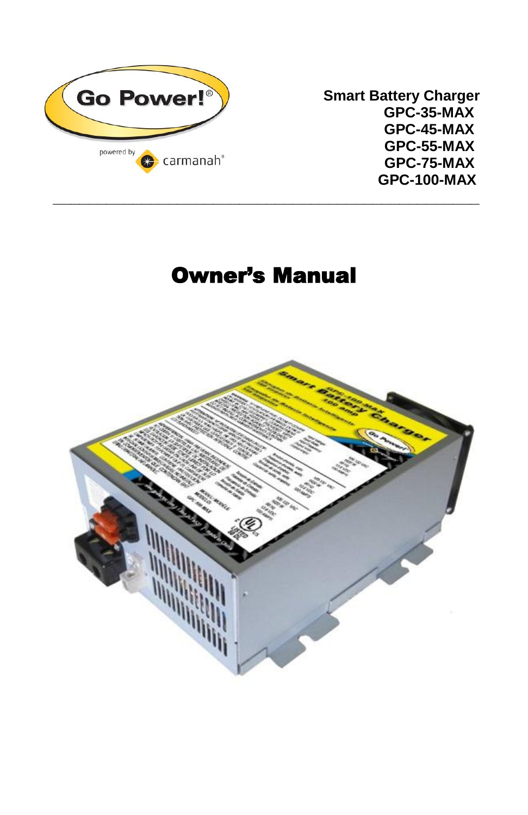

**Smart Battery Charger GPC-45-MAX GPC-55-MAX GPC-75-MAX GPC-100-MAX**

# Owner's Manual

**\_\_\_\_\_\_\_\_\_\_\_\_\_\_\_\_\_\_\_\_\_\_\_\_\_\_\_\_\_\_\_\_\_\_\_\_\_\_\_\_\_\_\_\_\_\_\_\_**

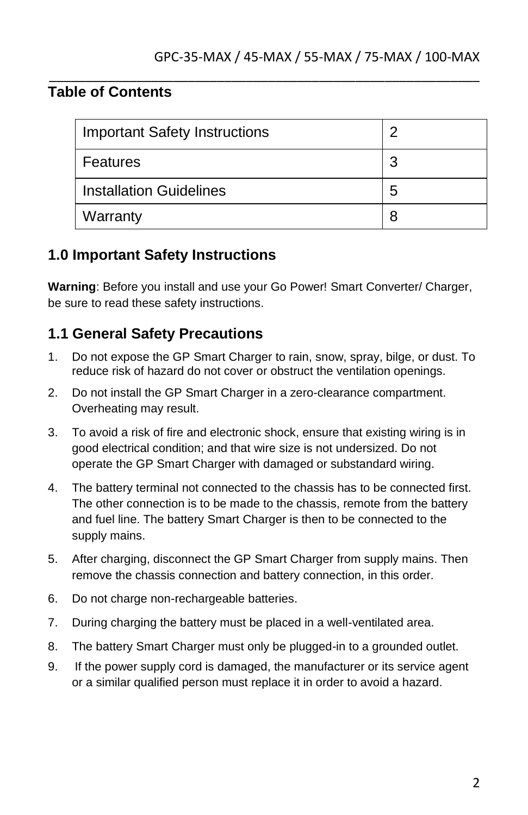## **Table of Contents**

| <b>Important Safety Instructions</b> | າ |
|--------------------------------------|---|
| Features                             | 3 |
| <b>Installation Guidelines</b>       | 5 |
| Warranty                             | 8 |

\_\_\_\_\_\_\_\_\_\_\_\_\_\_\_\_\_\_\_\_\_\_\_\_\_\_\_\_\_\_\_\_\_\_\_\_\_\_\_\_\_\_\_\_\_\_\_\_\_\_\_\_\_\_\_\_\_\_\_

#### **1.0 Important Safety Instructions**

**Warning**: Before you install and use your Go Power! Smart Converter/ Charger, be sure to read these safety instructions.

#### **1.1 General Safety Precautions**

- 1. Do not expose the GP Smart Charger to rain, snow, spray, bilge, or dust. To reduce risk of hazard do not cover or obstruct the ventilation openings.
- 2. Do not install the GP Smart Charger in a zero-clearance compartment. Overheating may result.
- 3. To avoid a risk of fire and electronic shock, ensure that existing wiring is in good electrical condition; and that wire size is not undersized. Do not operate the GP Smart Charger with damaged or substandard wiring.
- 4. The battery terminal not connected to the chassis has to be connected first. The other connection is to be made to the chassis, remote from the battery and fuel line. The battery Smart Charger is then to be connected to the supply mains.
- 5. After charging, disconnect the GP Smart Charger from supply mains. Then remove the chassis connection and battery connection, in this order.
- 6. Do not charge non-rechargeable batteries.
- 7. During charging the battery must be placed in a well-ventilated area.
- 8. The battery Smart Charger must only be plugged-in to a grounded outlet.
- 9. If the power supply cord is damaged, the manufacturer or its service agent or a similar qualified person must replace it in order to avoid a hazard.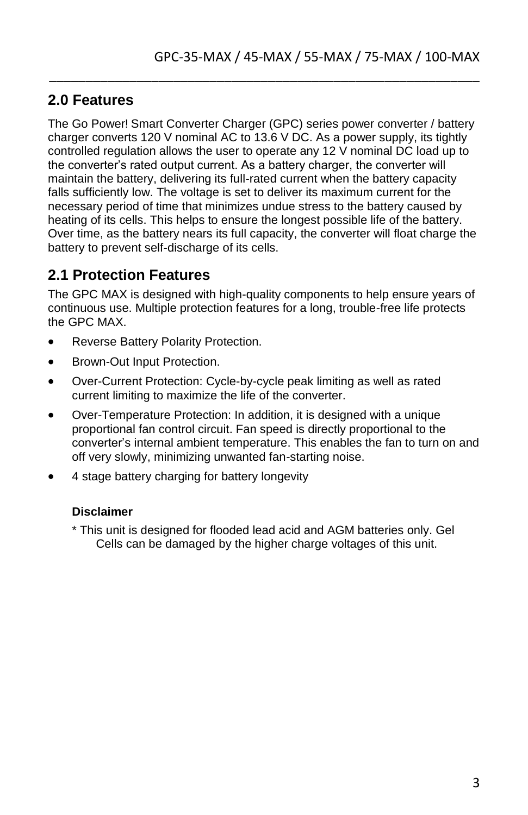#### **2.0 Features**

The Go Power! Smart Converter Charger (GPC) series power converter / battery charger converts 120 V nominal AC to 13.6 V DC. As a power supply, its tightly controlled regulation allows the user to operate any 12 V nominal DC load up to the converter's rated output current. As a battery charger, the converter will maintain the battery, delivering its full-rated current when the battery capacity falls sufficiently low. The voltage is set to deliver its maximum current for the necessary period of time that minimizes undue stress to the battery caused by heating of its cells. This helps to ensure the longest possible life of the battery. Over time, as the battery nears its full capacity, the converter will float charge the battery to prevent self-discharge of its cells.

\_\_\_\_\_\_\_\_\_\_\_\_\_\_\_\_\_\_\_\_\_\_\_\_\_\_\_\_\_\_\_\_\_\_\_\_\_\_\_\_\_\_\_\_\_\_\_\_\_\_\_\_\_\_\_\_\_\_\_

#### **2.1 Protection Features**

The GPC MAX is designed with high-quality components to help ensure years of continuous use. Multiple protection features for a long, trouble-free life protects the GPC MAX.

- Reverse Battery Polarity Protection.
- Brown-Out Input Protection.
- Over-Current Protection: Cycle-by-cycle peak limiting as well as rated current limiting to maximize the life of the converter.
- Over-Temperature Protection: In addition, it is designed with a unique proportional fan control circuit. Fan speed is directly proportional to the converter's internal ambient temperature. This enables the fan to turn on and off very slowly, minimizing unwanted fan-starting noise.
- 4 stage battery charging for battery longevity

#### **Disclaimer**

\* This unit is designed for flooded lead acid and AGM batteries only. Gel Cells can be damaged by the higher charge voltages of this unit.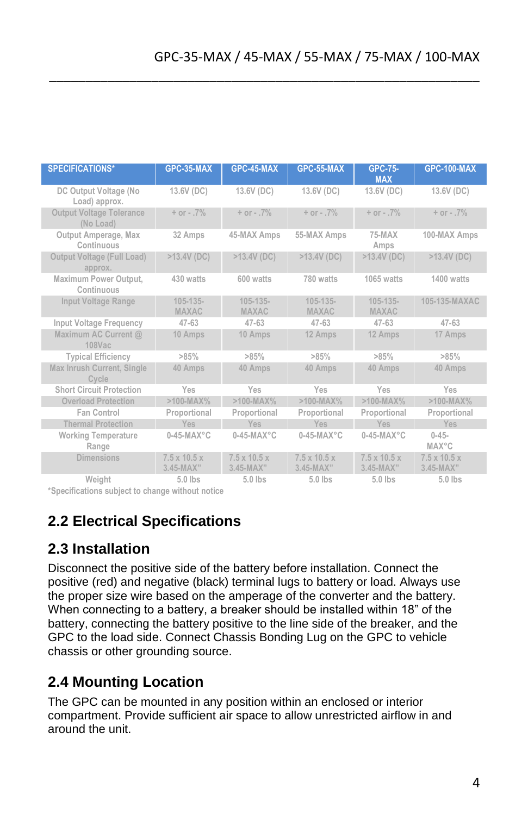| <b>SPECIFICATIONS*</b>                       | GPC-35-MAX                                | GPC-45-MAX                              | GPC-55-MAX                              | <b>GPC-75-</b><br><b>MAX</b>              | <b>GPC-100-MAX</b>                        |
|----------------------------------------------|-------------------------------------------|-----------------------------------------|-----------------------------------------|-------------------------------------------|-------------------------------------------|
| DC Output Voltage (No<br>Load) approx.       | 13.6V (DC)                                | 13.6V (DC)                              | 13.6V (DC)                              | 13.6V (DC)                                | 13.6V (DC)                                |
| <b>Output Voltage Tolerance</b><br>(No Load) | $+$ or $-.7\%$                            | $+$ or $-$ .7%                          | $+$ or $-.7\%$                          | $+$ or $-$ .7%                            | $+$ or $-.7\%$                            |
| Output Amperage, Max<br>Continuous           | 32 Amps                                   | 45-MAX Amps                             | 55-MAX Amps                             | 75-MAX<br>Amps                            | 100-MAX Amps                              |
| Output Voltage (Full Load)<br>approx.        | $>13.4V$ (DC)                             | $>13.4V$ (DC)                           | $>13.4V$ (DC)                           | $>13.4V$ (DC)                             | $>13.4V$ (DC)                             |
| Maximum Power Output,<br>Confinuous          | 430 watts                                 | 600 watts                               | 780 watts                               | 1065 waffs                                | 1400 watts                                |
| Input Voltage Range                          | $105 - 135 -$<br><b>MAXAC</b>             | $105 - 135 -$<br><b>MAXAC</b>           | $105 - 135 -$<br><b>MAXAC</b>           | $105 - 135 -$<br><b>MAXAC</b>             | 105-135-MAXAC                             |
| Input Voltage Frequency                      | $47 - 63$                                 | $47 - 63$                               | $47 - 63$                               | $47 - 63$                                 | $47 - 63$                                 |
| Maximum AC Current @<br>108Vac               | 10 Amps                                   | 10 Amps                                 | 12 Amps                                 | 12 Amps                                   | 17 Amps                                   |
| <b>Typical Efficiency</b>                    | >85%                                      | $>85\%$                                 | >85%                                    | $>85\%$                                   | >85%                                      |
| Max Inrush Current, Single<br>Cycle          | 40 Amps                                   | 40 Amps                                 | 40 Amps                                 | 40 Amps                                   | 40 Amps                                   |
| <b>Short Circuit Protection</b>              | Yes                                       | Yes                                     | Yes                                     | Yes                                       | Yes                                       |
| <b>Overload Protection</b>                   | $>100-MAX%$                               | $>100$ -MAX%                            | $>100-MAX%$                             | $>100-MAX%$                               | $>100-MAX%$                               |
| Fan Control                                  | Proportional                              | Proportional                            | Proportional                            | Proportional                              | Proportional                              |
| <b>Thermal Protection</b>                    | Yes                                       | Yes                                     | Yes                                     | Yes                                       | Yes                                       |
| <b>Working Temperature</b><br>Range          | $0-45-MAX°C$                              | $0-45-MAX°C$                            | $0-45-MAX°C$                            | $0-45-MAX°C$                              | $0 - 45 -$<br><b>MAX°C</b>                |
| <b>Dimensions</b>                            | $7.5 \times 10.5 \times$<br>$3.45 - MAX"$ | $7.5 \times 10.5 \times$<br>$3.45-MAX"$ | $7.5 \times 10.5 \times$<br>$3.45-MAX"$ | $7.5 \times 10.5 \times$<br>$3.45 - MAX"$ | $7.5 \times 10.5 \times$<br>$3.45 - MAX"$ |
| Weight                                       | $5.0$ lbs                                 | $5.0$ lbs                               | $5.0$ lbs                               | $5.0$ lbs                                 | 5.0 lbs                                   |

\_\_\_\_\_\_\_\_\_\_\_\_\_\_\_\_\_\_\_\_\_\_\_\_\_\_\_\_\_\_\_\_\_\_\_\_\_\_\_\_\_\_\_\_\_\_\_\_\_\_\_\_\_\_\_\_\_\_\_

**\*Specifications subject to change without notice**

## **2.2 Electrical Specifications**

#### **2.3 Installation**

Disconnect the positive side of the battery before installation. Connect the positive (red) and negative (black) terminal lugs to battery or load. Always use the proper size wire based on the amperage of the converter and the battery. When connecting to a battery, a breaker should be installed within 18" of the battery, connecting the battery positive to the line side of the breaker, and the GPC to the load side. Connect Chassis Bonding Lug on the GPC to vehicle chassis or other grounding source.

## **2.4 Mounting Location**

The GPC can be mounted in any position within an enclosed or interior compartment. Provide sufficient air space to allow unrestricted airflow in and around the unit.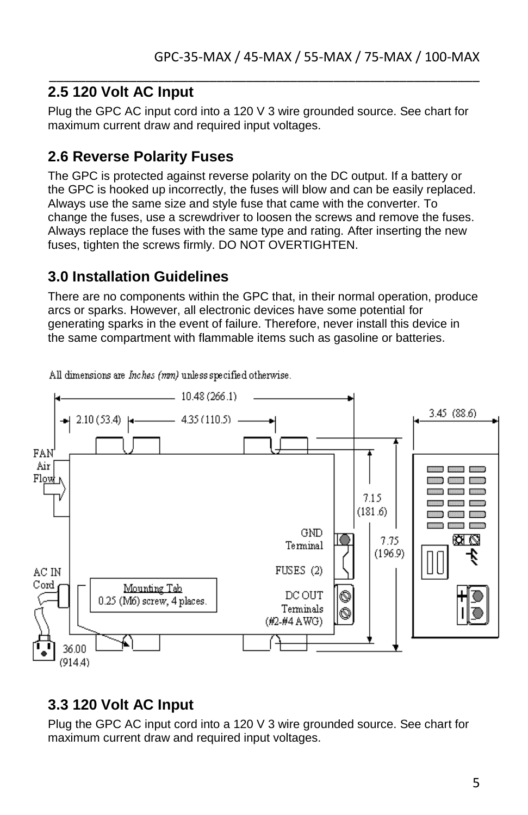#### \_\_\_\_\_\_\_\_\_\_\_\_\_\_\_\_\_\_\_\_\_\_\_\_\_\_\_\_\_\_\_\_\_\_\_\_\_\_\_\_\_\_\_\_\_\_\_\_\_\_\_\_\_\_\_\_\_\_\_ **2.5 120 Volt AC Input**

Plug the GPC AC input cord into a 120 V 3 wire grounded source. See chart for maximum current draw and required input voltages.

### **2.6 Reverse Polarity Fuses**

The GPC is protected against reverse polarity on the DC output. If a battery or the GPC is hooked up incorrectly, the fuses will blow and can be easily replaced. Always use the same size and style fuse that came with the converter. To change the fuses, use a screwdriver to loosen the screws and remove the fuses. Always replace the fuses with the same type and rating. After inserting the new fuses, tighten the screws firmly. DO NOT OVERTIGHTEN.

#### **3.0 Installation Guidelines**

There are no components within the GPC that, in their normal operation, produce arcs or sparks. However, all electronic devices have some potential for generating sparks in the event of failure. Therefore, never install this device in the same compartment with flammable items such as gasoline or batteries.



All dimensions are Inches (mm) unless specified otherwise.

#### **3.3 120 Volt AC Input**

Plug the GPC AC input cord into a 120 V 3 wire grounded source. See chart for maximum current draw and required input voltages.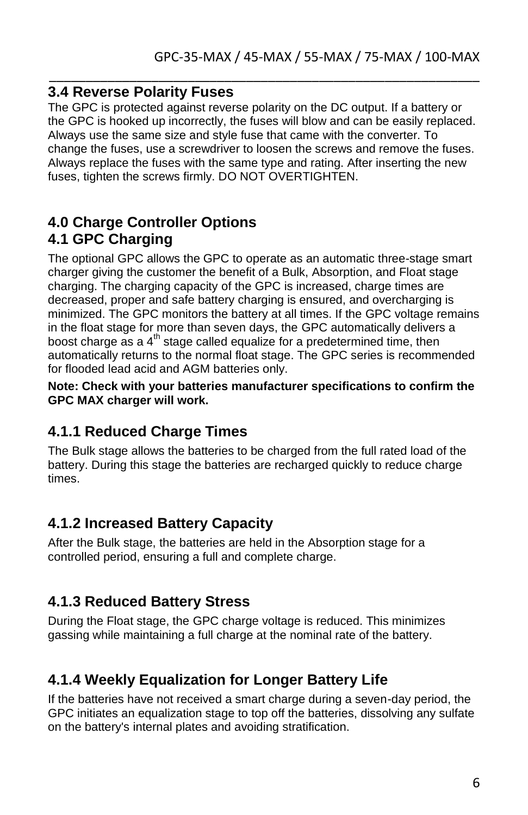#### **3.4 Reverse Polarity Fuses**

The GPC is protected against reverse polarity on the DC output. If a battery or the GPC is hooked up incorrectly, the fuses will blow and can be easily replaced. Always use the same size and style fuse that came with the converter. To change the fuses, use a screwdriver to loosen the screws and remove the fuses. Always replace the fuses with the same type and rating. After inserting the new fuses, tighten the screws firmly. DO NOT OVERTIGHTEN.

\_\_\_\_\_\_\_\_\_\_\_\_\_\_\_\_\_\_\_\_\_\_\_\_\_\_\_\_\_\_\_\_\_\_\_\_\_\_\_\_\_\_\_\_\_\_\_\_\_\_\_\_\_\_\_\_\_\_\_

#### **4.0 Charge Controller Options 4.1 GPC Charging**

The optional GPC allows the GPC to operate as an automatic three-stage smart charger giving the customer the benefit of a Bulk, Absorption, and Float stage charging. The charging capacity of the GPC is increased, charge times are decreased, proper and safe battery charging is ensured, and overcharging is minimized. The GPC monitors the battery at all times. If the GPC voltage remains in the float stage for more than seven days, the GPC automatically delivers a boost charge as a  $4<sup>th</sup>$  stage called equalize for a predetermined time, then automatically returns to the normal float stage. The GPC series is recommended for flooded lead acid and AGM batteries only.

**Note: Check with your batteries manufacturer specifications to confirm the GPC MAX charger will work.**

#### **4.1.1 Reduced Charge Times**

The Bulk stage allows the batteries to be charged from the full rated load of the battery. During this stage the batteries are recharged quickly to reduce charge times.

#### **4.1.2 Increased Battery Capacity**

After the Bulk stage, the batteries are held in the Absorption stage for a controlled period, ensuring a full and complete charge.

#### **4.1.3 Reduced Battery Stress**

During the Float stage, the GPC charge voltage is reduced. This minimizes gassing while maintaining a full charge at the nominal rate of the battery.

#### **4.1.4 Weekly Equalization for Longer Battery Life**

If the batteries have not received a smart charge during a seven-day period, the GPC initiates an equalization stage to top off the batteries, dissolving any sulfate on the battery's internal plates and avoiding stratification.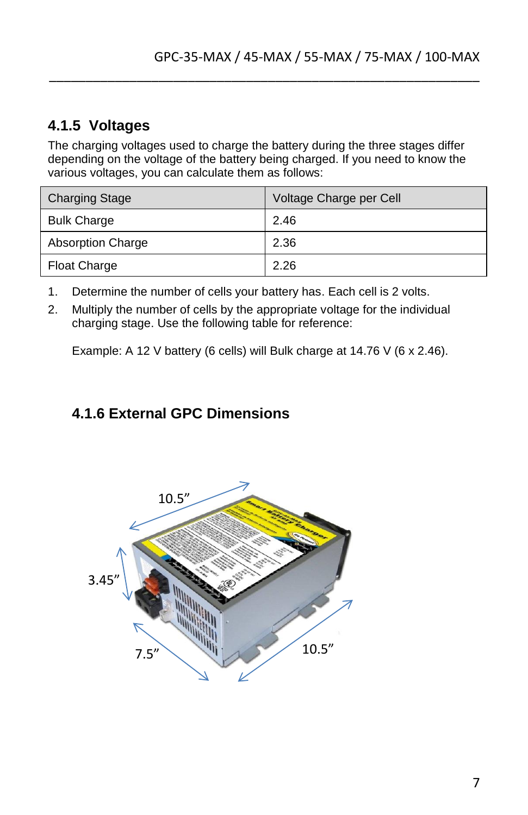## **4.1.5 Voltages**

The charging voltages used to charge the battery during the three stages differ depending on the voltage of the battery being charged. If you need to know the various voltages, you can calculate them as follows:

\_\_\_\_\_\_\_\_\_\_\_\_\_\_\_\_\_\_\_\_\_\_\_\_\_\_\_\_\_\_\_\_\_\_\_\_\_\_\_\_\_\_\_\_\_\_\_\_\_\_\_\_\_\_\_\_\_\_\_

| <b>Charging Stage</b>    | Voltage Charge per Cell |
|--------------------------|-------------------------|
| <b>Bulk Charge</b>       | 2.46                    |
| <b>Absorption Charge</b> | 2.36                    |
| <b>Float Charge</b>      | 2.26                    |

- 1. Determine the number of cells your battery has. Each cell is 2 volts.
- 2. Multiply the number of cells by the appropriate voltage for the individual charging stage. Use the following table for reference:

Example: A 12 V battery (6 cells) will Bulk charge at 14.76 V (6 x 2.46).

### **4.1.6 External GPC Dimensions**

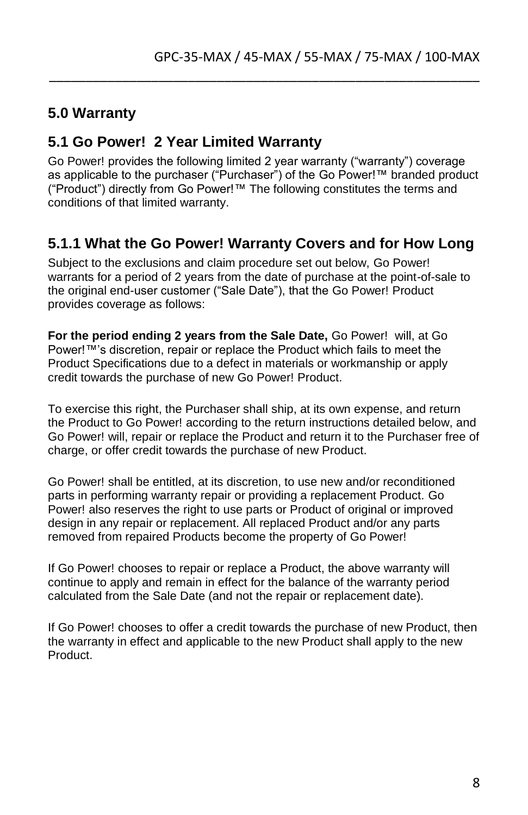#### **5.0 Warranty**

#### **5.1 Go Power! 2 Year Limited Warranty**

Go Power! provides the following limited 2 year warranty ("warranty") coverage as applicable to the purchaser ("Purchaser") of the Go Power!™ branded product ("Product") directly from Go Power!™ The following constitutes the terms and conditions of that limited warranty.

\_\_\_\_\_\_\_\_\_\_\_\_\_\_\_\_\_\_\_\_\_\_\_\_\_\_\_\_\_\_\_\_\_\_\_\_\_\_\_\_\_\_\_\_\_\_\_\_\_\_\_\_\_\_\_\_\_\_\_

#### **5.1.1 What the Go Power! Warranty Covers and for How Long**

Subject to the exclusions and claim procedure set out below, Go Power! warrants for a period of 2 years from the date of purchase at the point-of-sale to the original end-user customer ("Sale Date"), that the Go Power! Product provides coverage as follows:

**For the period ending 2 years from the Sale Date,** Go Power! will, at Go Power!™'s discretion, repair or replace the Product which fails to meet the Product Specifications due to a defect in materials or workmanship or apply credit towards the purchase of new Go Power! Product.

To exercise this right, the Purchaser shall ship, at its own expense, and return the Product to Go Power! according to the return instructions detailed below, and Go Power! will, repair or replace the Product and return it to the Purchaser free of charge, or offer credit towards the purchase of new Product.

Go Power! shall be entitled, at its discretion, to use new and/or reconditioned parts in performing warranty repair or providing a replacement Product. Go Power! also reserves the right to use parts or Product of original or improved design in any repair or replacement. All replaced Product and/or any parts removed from repaired Products become the property of Go Power!

If Go Power! chooses to repair or replace a Product, the above warranty will continue to apply and remain in effect for the balance of the warranty period calculated from the Sale Date (and not the repair or replacement date).

If Go Power! chooses to offer a credit towards the purchase of new Product, then the warranty in effect and applicable to the new Product shall apply to the new Product.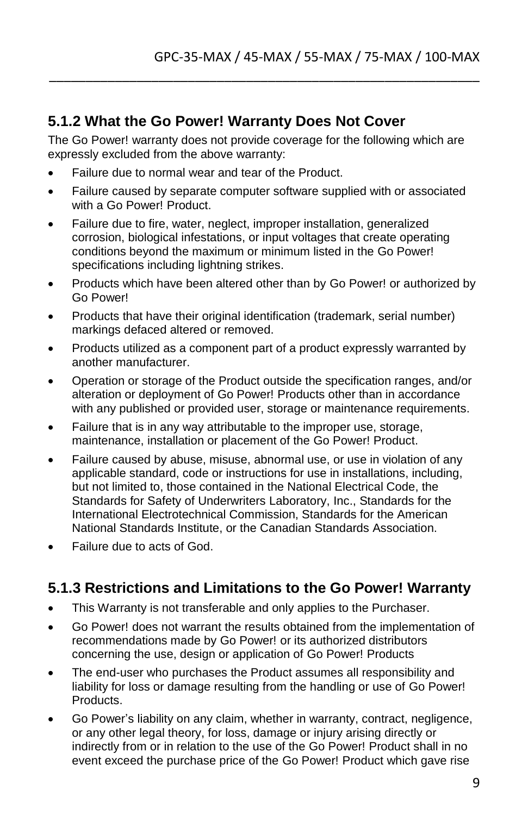#### **5.1.2 What the Go Power! Warranty Does Not Cover**

The Go Power! warranty does not provide coverage for the following which are expressly excluded from the above warranty:

\_\_\_\_\_\_\_\_\_\_\_\_\_\_\_\_\_\_\_\_\_\_\_\_\_\_\_\_\_\_\_\_\_\_\_\_\_\_\_\_\_\_\_\_\_\_\_\_\_\_\_\_\_\_\_\_\_\_\_

- Failure due to normal wear and tear of the Product.
- Failure caused by separate computer software supplied with or associated with a Go Power! Product.
- Failure due to fire, water, neglect, improper installation, generalized corrosion, biological infestations, or input voltages that create operating conditions beyond the maximum or minimum listed in the Go Power! specifications including lightning strikes.
- Products which have been altered other than by Go Power! or authorized by Go Power!
- Products that have their original identification (trademark, serial number) markings defaced altered or removed.
- Products utilized as a component part of a product expressly warranted by another manufacturer.
- Operation or storage of the Product outside the specification ranges, and/or alteration or deployment of Go Power! Products other than in accordance with any published or provided user, storage or maintenance requirements.
- Failure that is in any way attributable to the improper use, storage, maintenance, installation or placement of the Go Power! Product.
- Failure caused by abuse, misuse, abnormal use, or use in violation of any applicable standard, code or instructions for use in installations, including, but not limited to, those contained in the National Electrical Code, the Standards for Safety of Underwriters Laboratory, Inc., Standards for the International Electrotechnical Commission, Standards for the American National Standards Institute, or the Canadian Standards Association.
- Failure due to acts of God.

## **5.1.3 Restrictions and Limitations to the Go Power! Warranty**

- This Warranty is not transferable and only applies to the Purchaser.
- Go Power! does not warrant the results obtained from the implementation of recommendations made by Go Power! or its authorized distributors concerning the use, design or application of Go Power! Products
- The end-user who purchases the Product assumes all responsibility and liability for loss or damage resulting from the handling or use of Go Power! Products.
- Go Power's liability on any claim, whether in warranty, contract, negligence, or any other legal theory, for loss, damage or injury arising directly or indirectly from or in relation to the use of the Go Power! Product shall in no event exceed the purchase price of the Go Power! Product which gave rise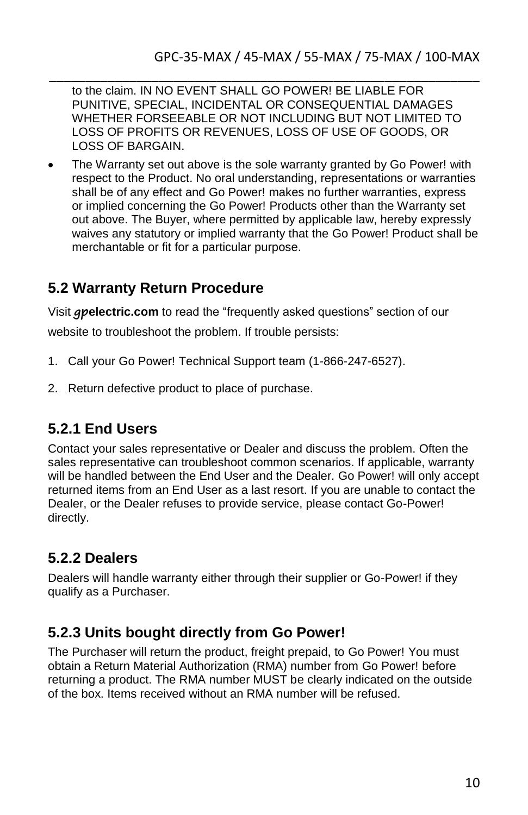to the claim. IN NO EVENT SHALL GO POWER! BE LIABLE FOR PUNITIVE, SPECIAL, INCIDENTAL OR CONSEQUENTIAL DAMAGES WHETHER FORSEEABLE OR NOT INCLUDING BUT NOT LIMITED TO LOSS OF PROFITS OR REVENUES, LOSS OF USE OF GOODS, OR LOSS OF BARGAIN.

\_\_\_\_\_\_\_\_\_\_\_\_\_\_\_\_\_\_\_\_\_\_\_\_\_\_\_\_\_\_\_\_\_\_\_\_\_\_\_\_\_\_\_\_\_\_\_\_\_\_\_\_\_\_\_\_\_\_\_

 The Warranty set out above is the sole warranty granted by Go Power! with respect to the Product. No oral understanding, representations or warranties shall be of any effect and Go Power! makes no further warranties, express or implied concerning the Go Power! Products other than the Warranty set out above. The Buyer, where permitted by applicable law, hereby expressly waives any statutory or implied warranty that the Go Power! Product shall be merchantable or fit for a particular purpose.

#### **5.2 Warranty Return Procedure**

Visit **gpelectric.com** to read the "frequently asked questions" section of our

website to troubleshoot the problem. If trouble persists:

- 1. Call your Go Power! Technical Support team (1-866-247-6527).
- 2. Return defective product to place of purchase.

#### **5.2.1 End Users**

Contact your sales representative or Dealer and discuss the problem. Often the sales representative can troubleshoot common scenarios. If applicable, warranty will be handled between the End User and the Dealer. Go Power! will only accept returned items from an End User as a last resort. If you are unable to contact the Dealer, or the Dealer refuses to provide service, please contact Go-Power! directly.

## **5.2.2 Dealers**

Dealers will handle warranty either through their supplier or Go-Power! if they qualify as a Purchaser.

#### **5.2.3 Units bought directly from Go Power!**

The Purchaser will return the product, freight prepaid, to Go Power! You must obtain a Return Material Authorization (RMA) number from Go Power! before returning a product. The RMA number MUST be clearly indicated on the outside of the box. Items received without an RMA number will be refused.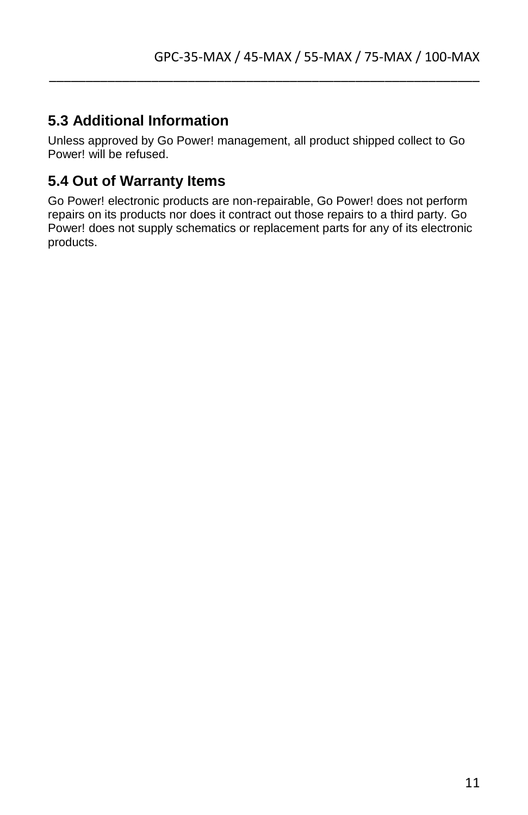### **5.3 Additional Information**

Unless approved by Go Power! management, all product shipped collect to Go Power! will be refused.

\_\_\_\_\_\_\_\_\_\_\_\_\_\_\_\_\_\_\_\_\_\_\_\_\_\_\_\_\_\_\_\_\_\_\_\_\_\_\_\_\_\_\_\_\_\_\_\_\_\_\_\_\_\_\_\_\_\_\_

#### **5.4 Out of Warranty Items**

Go Power! electronic products are non-repairable, Go Power! does not perform repairs on its products nor does it contract out those repairs to a third party. Go Power! does not supply schematics or replacement parts for any of its electronic products.